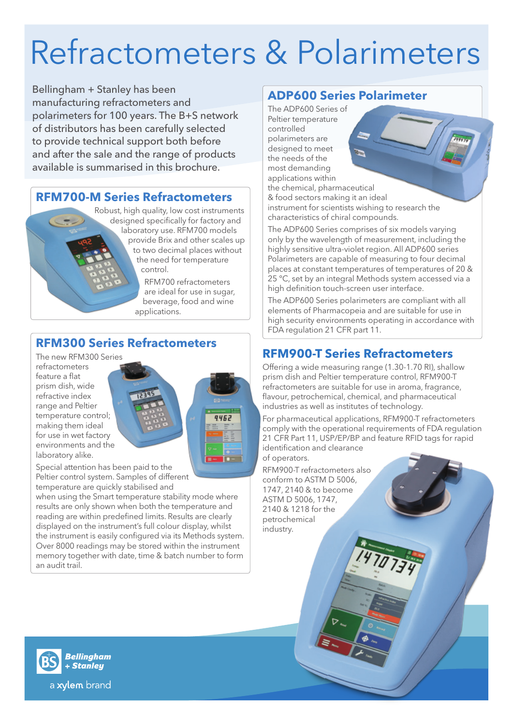# Refractometers & Polarimeters

Bellingham + Stanley has been manufacturing refractometers and polarimeters for 100 years. The B+S network of distributors has been carefully selected to provide technical support both before and after the sale and the range of products available is summarised in this brochure.

## **RFM700-M Series Refractometers**

Robust, high quality, low cost instruments designed specifically for factory and laboratory use. RFM700 models provide Brix and other scales up to two decimal places without the need for temperature control. RFM700 refractometers are ideal for use in sugar, beverage, food and wine

applications.

**RFM300 Series Refractometers**

The new RFM300 Series refractometers feature a flat prism dish, wide refractive index range and Peltier temperature control; making them ideal for use in wet factory environments and the laboratory alike.



Special attention has been paid to the Peltier control system. Samples of different temperature are quickly stabilised and

when using the Smart temperature stability mode where results are only shown when both the temperature and reading are within predefined limits. Results are clearly displayed on the instrument's full colour display, whilst the instrument is easily configured via its Methods system. Over 8000 readings may be stored within the instrument memory together with date, time & batch number to form an audit trail.

# **ADP600 Series Polarimeter**

The ADP600 Series of Peltier temperature controlled polarimeters are designed to meet the needs of the most demanding applications within

the chemical, pharmaceutical & food sectors making it an ideal instrument for scientists wishing to research the characteristics of chiral compounds.

The ADP600 Series comprises of six models varying only by the wavelength of measurement, including the highly sensitive ultra-violet region. All ADP600 series Polarimeters are capable of measuring to four decimal places at constant temperatures of temperatures of 20 & 25 °C, set by an integral Methods system accessed via a high definition touch-screen user interface.

The ADP600 Series polarimeters are compliant with all elements of Pharmacopeia and are suitable for use in high security environments operating in accordance with FDA regulation 21 CFR part 11.

# **RFM900-T Series Refractometers**

Offering a wide measuring range (1.30-1.70 RI), shallow prism dish and Peltier temperature control, RFM900-T refractometers are suitable for use in aroma, fragrance, flavour, petrochemical, chemical, and pharmaceutical industries as well as institutes of technology.

For pharmaceutical applications, RFM900-T refractometers comply with the operational requirements of FDA regulation 21 CFR Part 11, USP/EP/BP and feature RFID tags for rapid identification and clearance

of operators.

RFM900-T refractometers also conform to ASTM D 5006, 1747, 2140 & to become ASTM D 5006, 1747, 2140 & 1218 for the petrochemical industry.